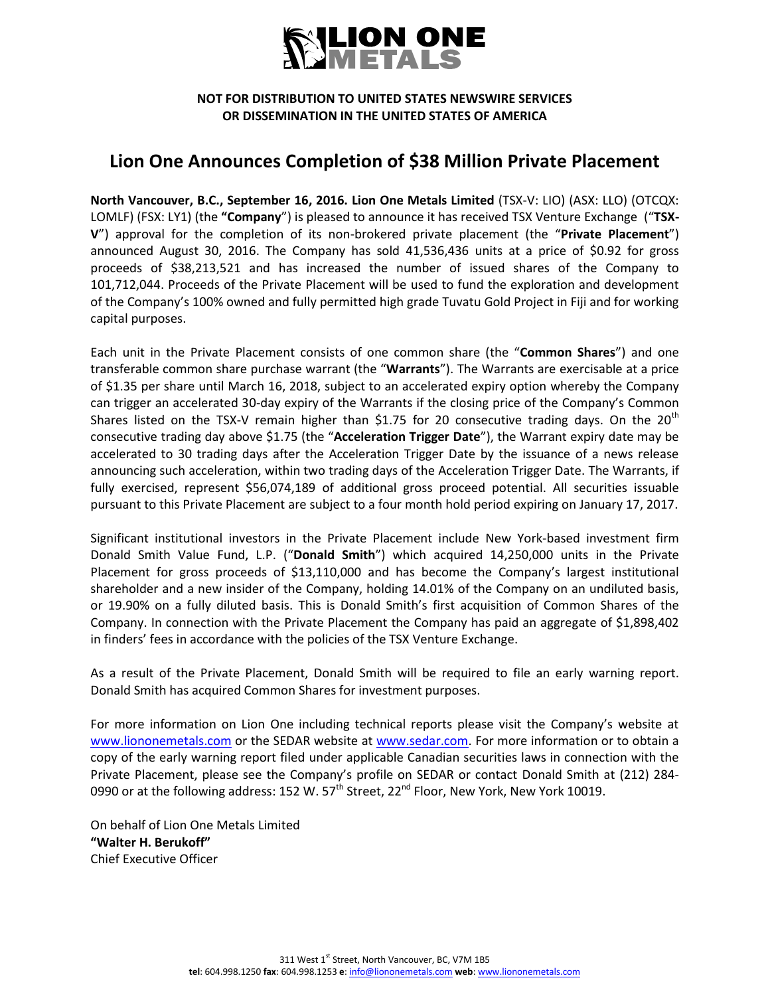

### **NOT FOR DISTRIBUTION TO UNITED STATES NEWSWIRE SERVICES OR DISSEMINATION IN THE UNITED STATES OF AMERICA**

## **Lion One Announces Completion of \$38 Million Private Placement**

**North Vancouver, B.C., September 16, 2016. Lion One Metals Limited** (TSX-V: LIO) (ASX: LLO) (OTCQX: LOMLF) (FSX: LY1) (the **"Company**") is pleased to announce it has received TSX Venture Exchange ("**TSX-V**") approval for the completion of its non-brokered private placement (the "**Private Placement**") announced August 30, 2016. The Company has sold 41,536,436 units at a price of \$0.92 for gross proceeds of \$38,213,521 and has increased the number of issued shares of the Company to 101,712,044. Proceeds of the Private Placement will be used to fund the exploration and development of the Company's 100% owned and fully permitted high grade Tuvatu Gold Project in Fiji and for working capital purposes.

Each unit in the Private Placement consists of one common share (the "**Common Shares**") and one transferable common share purchase warrant (the "**Warrants**"). The Warrants are exercisable at a price of \$1.35 per share until March 16, 2018, subject to an accelerated expiry option whereby the Company can trigger an accelerated 30-day expiry of the Warrants if the closing price of the Company's Common Shares listed on the TSX-V remain higher than \$1.75 for 20 consecutive trading days. On the 20<sup>th</sup> consecutive trading day above \$1.75 (the "**Acceleration Trigger Date**"), the Warrant expiry date may be accelerated to 30 trading days after the Acceleration Trigger Date by the issuance of a news release announcing such acceleration, within two trading days of the Acceleration Trigger Date. The Warrants, if fully exercised, represent \$56,074,189 of additional gross proceed potential. All securities issuable pursuant to this Private Placement are subject to a four month hold period expiring on January 17, 2017.

Significant institutional investors in the Private Placement include New York-based investment firm Donald Smith Value Fund, L.P. ("**Donald Smith**") which acquired 14,250,000 units in the Private Placement for gross proceeds of \$13,110,000 and has become the Company's largest institutional shareholder and a new insider of the Company, holding 14.01% of the Company on an undiluted basis, or 19.90% on a fully diluted basis. This is Donald Smith's first acquisition of Common Shares of the Company. In connection with the Private Placement the Company has paid an aggregate of \$1,898,402 in finders' fees in accordance with the policies of the TSX Venture Exchange.

As a result of the Private Placement, Donald Smith will be required to file an early warning report. Donald Smith has acquired Common Shares for investment purposes.

For more information on Lion One including technical reports please visit the Company's website at [www.liononemetals.com](http://www.liononemetals.com/) or the SEDAR website at [www.sedar.com.](http://www.sedar.com/) For more information or to obtain a copy of the early warning report filed under applicable Canadian securities laws in connection with the Private Placement, please see the Company's profile on SEDAR or contact Donald Smith at (212) 284- 0990 or at the following address: 152 W. 57<sup>th</sup> Street, 22<sup>nd</sup> Floor, New York, New York 10019.

On behalf of Lion One Metals Limited **"Walter H. Berukoff"** Chief Executive Officer